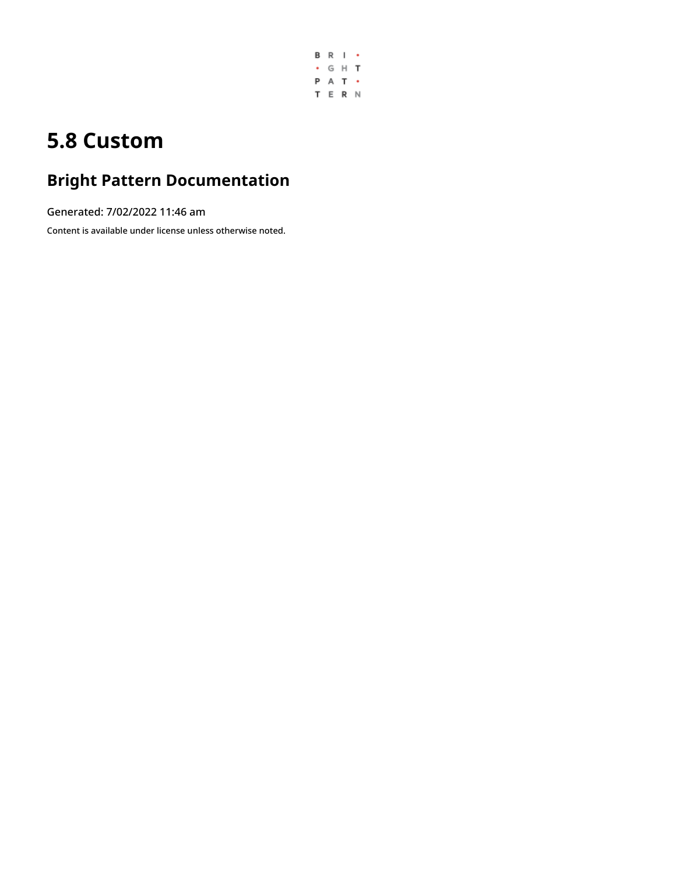

## **5.8 Custom**

# **Bright Pattern Documentation**

Generated: 7/02/2022 11:46 am

Content is available under license unless otherwise noted.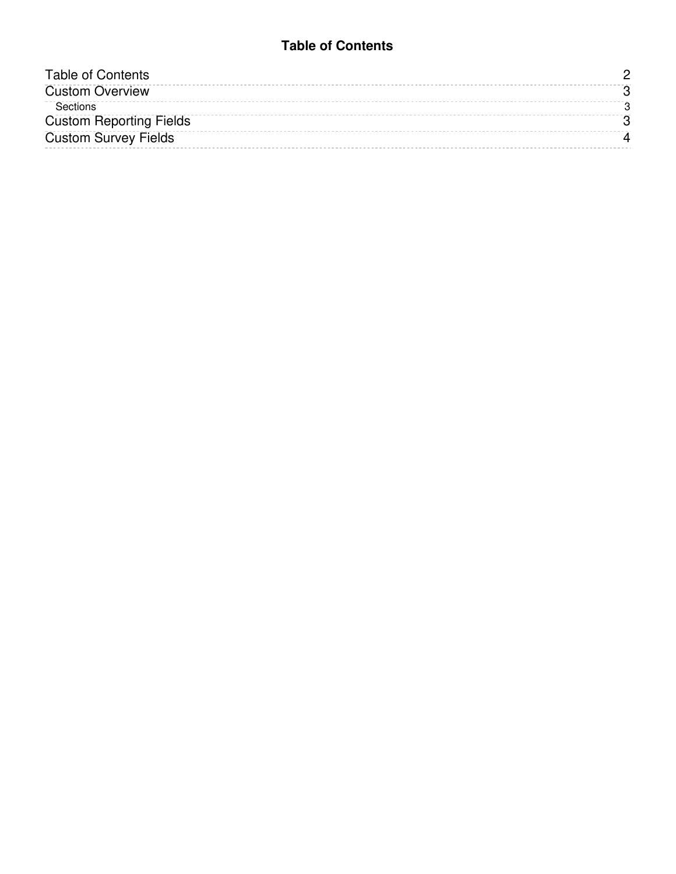#### **Table of Contents**

<span id="page-1-0"></span>

| <b>Table of Contents</b>       |  |
|--------------------------------|--|
| <b>Custom Overview</b>         |  |
| Sections                       |  |
| <b>Custom Reporting Fields</b> |  |
| <b>Custom Survey Fields</b>    |  |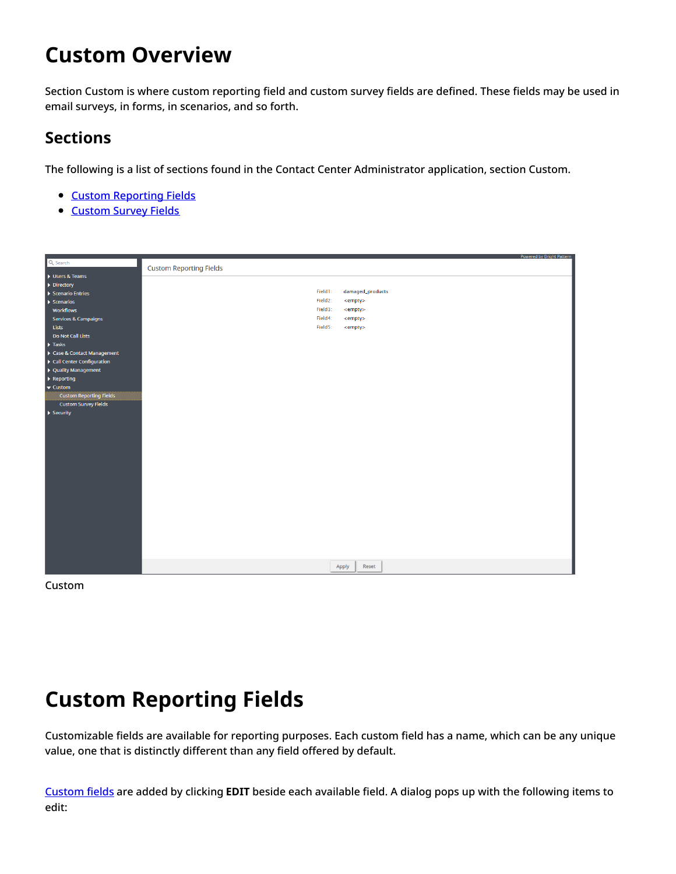### <span id="page-2-0"></span>**Custom Overview**

Section Custom is where custom reporting field and custom survey fields are defined. These fields may be used in email surveys, in forms, in scenarios, and so forth.

#### <span id="page-2-1"></span>**Sections**

The following is a list of sections found in the Contact Center Administrator application, section Custom.

- Custom [Reporting](https://help.brightpattern.com/5.8:Contact-center-administrator-guide/Custom/?action=html-localimages-export#topic_contact-center-administrator-guide.2Fcustom.2Fcustomreportingfields) Fields
- [Custom](https://help.brightpattern.com/5.8:Contact-center-administrator-guide/Custom/?action=html-localimages-export#topic_contact-center-administrator-guide.2Fcustom.2Fcustomsurveyfields) Survey Fields

|                                                 |                                | Powered by Bright Pattern |
|-------------------------------------------------|--------------------------------|---------------------------|
| Q Search                                        | <b>Custom Reporting Fields</b> |                           |
| Users & Teams                                   |                                |                           |
| Directory                                       |                                |                           |
| Scenario Entries                                | damaged_products<br>Field1:    |                           |
| $\blacktriangleright$ Scenarios                 | Field2:<br><empty></empty>     |                           |
| Workflows                                       | Field3:<br><empty></empty>     |                           |
| Services & Campaigns                            | Field4:<br>$\leq$ empty $>$    |                           |
| Lists                                           | Field5:<br><empty></empty>     |                           |
| Do Not Call Lists                               |                                |                           |
| $\blacktriangleright$ Tasks                     |                                |                           |
| Case & Contact Management                       |                                |                           |
| $\blacktriangleright$ Call Center Configuration |                                |                           |
| ▶ Quality Management                            |                                |                           |
| $\blacktriangleright$ Reporting                 |                                |                           |
| $\blacktriangledown$ Custom                     |                                |                           |
| <b>Custom Reporting Fields</b>                  |                                |                           |
| <b>Custom Survey Fields</b>                     |                                |                           |
| $\blacktriangleright$ Security                  |                                |                           |
|                                                 |                                |                           |
|                                                 |                                |                           |
|                                                 |                                |                           |
|                                                 |                                |                           |
|                                                 |                                |                           |
|                                                 |                                |                           |
|                                                 |                                |                           |
|                                                 |                                |                           |
|                                                 |                                |                           |
|                                                 |                                |                           |
|                                                 |                                |                           |
|                                                 |                                |                           |
|                                                 |                                |                           |
|                                                 |                                |                           |
|                                                 |                                |                           |
|                                                 |                                |                           |
|                                                 |                                |                           |
|                                                 | Apply<br>Reset                 |                           |
|                                                 |                                |                           |

Custom

#### <span id="page-2-2"></span>**Custom Reporting Fields**

Customizable fields are available for reporting purposes. Each custom field has a name, which can be any unique value, one that is distinctly different than any field offered by default.

[Custom](https://help.brightpattern.com/5.8:Contact-center-administrator-guide/Custom/?action=html-localimages-export#topic_scenario-builder-reference-guide.2Fscenarioblocks.2Fsetcustomreportingfield) fields are added by clicking **EDIT** beside each available field. A dialog pops up with the following items to edit: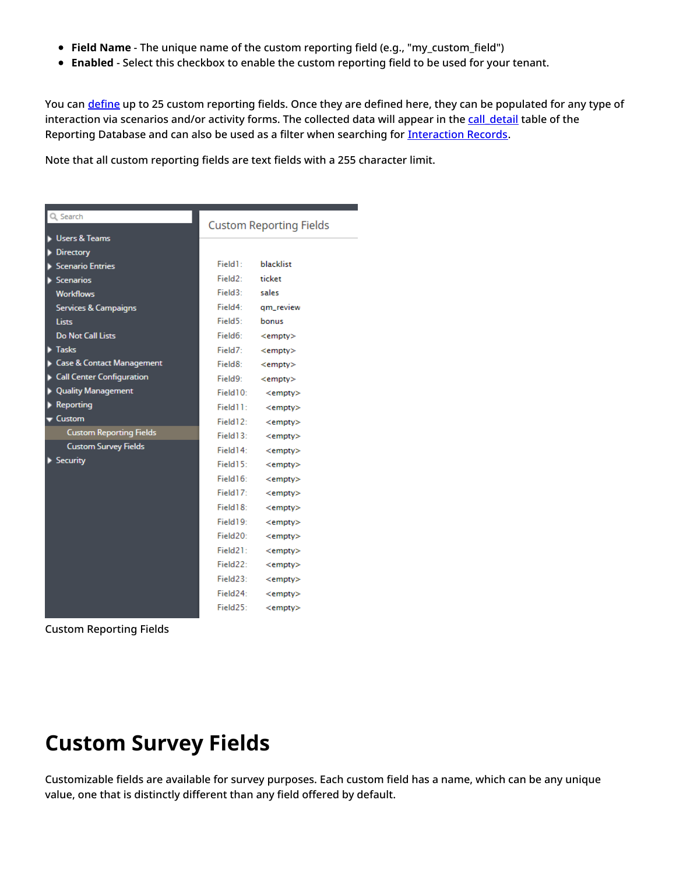- **Field Name** The unique name of the custom reporting field (e.g., "my\_custom\_field")
- **Enabled** Select this checkbox to enable the custom reporting field to be used for your tenant.

You can [define](https://help.brightpattern.com/5.8:Form-builder-reference-guide/Text#Custom_reporting_field) up to 25 custom reporting fields. Once they are defined here, they can be populated for any type of interaction via scenarios and/or activity forms. The collected data will appear in the call detail table of the Reporting Database and can also be used as a filter when searching for [Interaction](https://help.brightpattern.com/5.8:Contact-center-administrator-guide/Custom/?action=html-localimages-export#topic_reporting-reference-guide.2Finteractionrecordssearch) Records.

Note that all custom reporting fields are text fields with a 255 character limit.

| Q Search                        | <b>Custom Reporting Fields</b> |               |  |
|---------------------------------|--------------------------------|---------------|--|
| <b>Users &amp; Teams</b>        |                                |               |  |
| <b>Directory</b>                |                                |               |  |
| <b>Scenario Entries</b>         | Field1:                        | blacklist     |  |
| Scenarios                       | Field2:                        | ticket        |  |
| <b>Workflows</b>                | $Field3+$                      | sales         |  |
| <b>Services &amp; Campaigns</b> | Field4:                        | qm_review     |  |
| Lists                           | Field5:                        | bonus         |  |
| <b>Do Not Call Lists</b>        | Field6:                        | $<$ empty $>$ |  |
| $\blacktriangleright$ Tasks     | Field7:                        | $<$ empty $>$ |  |
| Case & Contact Management       | Field8:                        | $<$ empty $>$ |  |
| Call Center Configuration       | Field9:                        | $<$ empty $>$ |  |
| <b>Quality Management</b>       | Field10:                       | $<$ empty $>$ |  |
| <b>Reporting</b>                | Field11:                       | $<$ empty $>$ |  |
| $\blacktriangledown$ Custom     | Field12:                       | $<$ empty $>$ |  |
| <b>Custom Reporting Fields</b>  | Field3:                        | $<$ empty $>$ |  |
| <b>Custom Survey Fields</b>     | Field14:                       | $<$ empty $>$ |  |
| Security                        | Field15:                       | $<$ empty $>$ |  |
|                                 | Field16:                       | $<$ empty $>$ |  |
|                                 | Field17:                       | $<$ empty $>$ |  |
|                                 | Field18:                       | $<$ empty $>$ |  |
|                                 | Field19:                       | $<$ empty $>$ |  |
|                                 | Field <sub>20</sub> :          | $<$ empty $>$ |  |
|                                 | Field21:                       | $<$ empty $>$ |  |
|                                 | Field22:                       | $<$ empty $>$ |  |
|                                 | Field23:                       | $<$ empty $>$ |  |
|                                 | Field24:                       | $<$ empty $>$ |  |
|                                 | Field25:                       | $<$ empty $>$ |  |
|                                 |                                |               |  |

Custom Reporting Fields

## <span id="page-3-0"></span>**Custom Survey Fields**

Customizable fields are available for survey purposes. Each custom field has a name, which can be any unique value, one that is distinctly different than any field offered by default.